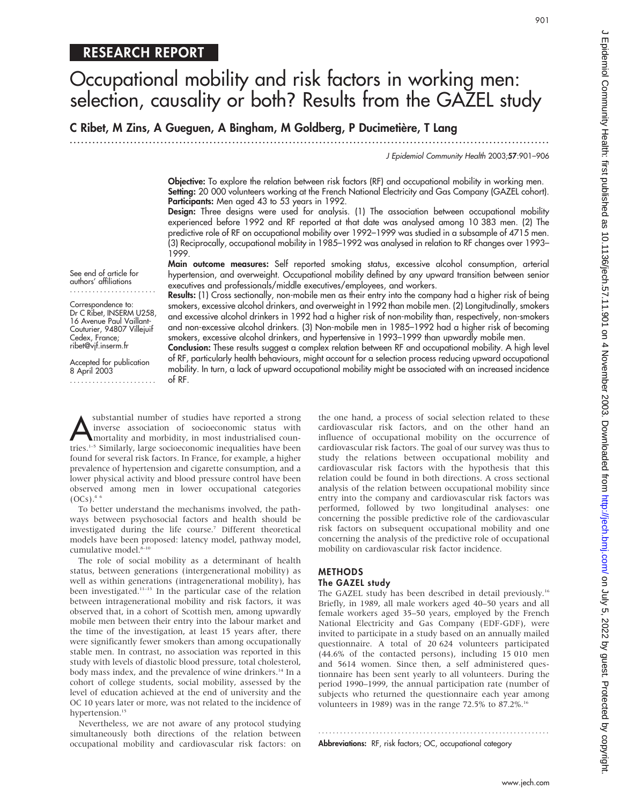# RESEARCH REPORT

# Occupational mobility and risk factors in working men: selection, causality or both? Results from the GAZEL study

C Ribet, M Zins, A Gueguen, A Bingham, M Goldberg, P Ducimetière, T Lang

.............................................................................................................................. .

J Epidemiol Community Health 2003;57:901–906

901

Objective: To explore the relation between risk factors (RF) and occupational mobility in working men. Setting: 20 000 volunteers working at the French National Electricity and Gas Company (GAZEL cohort). Participants: Men aged 43 to 53 years in 1992.

Design: Three designs were used for analysis. (1) The association between occupational mobility experienced before 1992 and RF reported at that date was analysed among 10 383 men. (2) The predictive role of RF on occupational mobility over 1992–1999 was studied in a subsample of 4715 men. (3) Reciprocally, occupational mobility in 1985–1992 was analysed in relation to RF changes over 1993– 1999.

Main outcome measures: Self reported smoking status, excessive alcohol consumption, arterial hypertension, and overweight. Occupational mobility defined by any upward transition between senior executives and professionals/middle executives/employees, and workers.

Results: (1) Cross sectionally, non-mobile men as their entry into the company had a higher risk of being smokers, excessive alcohol drinkers, and overweight in 1992 than mobile men. (2) Longitudinally, smokers and excessive alcohol drinkers in 1992 had a higher risk of non-mobility than, respectively, non-smokers and non-excessive alcohol drinkers. (3) Non-mobile men in 1985–1992 had a higher risk of becoming smokers, excessive alcohol drinkers, and hypertensive in 1993–1999 than upwardly mobile men.

Conclusion: These results suggest a complex relation between RF and occupational mobility. A high level of RF, particularly health behaviours, might account for a selection process reducing upward occupational mobility. In turn, a lack of upward occupational mobility might be associated with an increased incidence of RF.

substantial number of studies have reported a strong<br>inverse association of socioeconomic status with<br>mortality and morbidity, in most industrialised coun-<br>tries<sup>1-5</sup> Similarly large socioeconomic inequalities have been inverse association of socioeconomic status with tries.<sup>1-5</sup> Similarly, large socioeconomic inequalities have been found for several risk factors. In France, for example, a higher prevalence of hypertension and cigarette consumption, and a lower physical activity and blood pressure control have been observed among men in lower occupational categories

 $(OCs).$ <sup>4  $\epsilon$ </sup> To better understand the mechanisms involved, the pathways between psychosocial factors and health should be investigated during the life course.7 Different theoretical models have been proposed: latency model, pathway model, cumulative model.<sup>8-10</sup>

The role of social mobility as a determinant of health status, between generations (intergenerational mobility) as well as within generations (intragenerational mobility), has been investigated.<sup>11-13</sup> In the particular case of the relation between intragenerational mobility and risk factors, it was observed that, in a cohort of Scottish men, among upwardly mobile men between their entry into the labour market and the time of the investigation, at least 15 years after, there were significantly fewer smokers than among occupationally stable men. In contrast, no association was reported in this study with levels of diastolic blood pressure, total cholesterol, body mass index, and the prevalence of wine drinkers.<sup>14</sup> In a cohort of college students, social mobility, assessed by the level of education achieved at the end of university and the OC 10 years later or more, was not related to the incidence of hypertension.<sup>15</sup>

Nevertheless, we are not aware of any protocol studying simultaneously both directions of the relation between occupational mobility and cardiovascular risk factors: on the one hand, a process of social selection related to these cardiovascular risk factors, and on the other hand an influence of occupational mobility on the occurrence of cardiovascular risk factors. The goal of our survey was thus to study the relations between occupational mobility and cardiovascular risk factors with the hypothesis that this relation could be found in both directions. A cross sectional analysis of the relation between occupational mobility since entry into the company and cardiovascular risk factors was performed, followed by two longitudinal analyses: one concerning the possible predictive role of the cardiovascular risk factors on subsequent occupational mobility and one concerning the analysis of the predictive role of occupational mobility on cardiovascular risk factor incidence.

# METHODS

# The GAZEL study

The GAZEL study has been described in detail previously.<sup>16</sup> Briefly, in 1989, all male workers aged 40–50 years and all female workers aged 35–50 years, employed by the French National Electricity and Gas Company (EDF-GDF), were invited to participate in a study based on an annually mailed questionnaire. A total of 20 624 volunteers participated (44.6% of the contacted persons), including 15 010 men and 5614 women. Since then, a self administered questionnaire has been sent yearly to all volunteers. During the period 1990–1999, the annual participation rate (number of subjects who returned the questionnaire each year among volunteers in 1989) was in the range 72.5% to 87.2%.16

............................................................... . Abbreviations: RF, risk factors; OC, occupational category

authors' affiliations .......................

See end of article for

Correspondence to: Dr C Ribet, INSERM U258, 16 Avenue Paul Vaillant-Couturier, 94807 Villejuif Cedex, France; ribet@vjf.inserm.fr

Accepted for publication 8 April 2003

.......................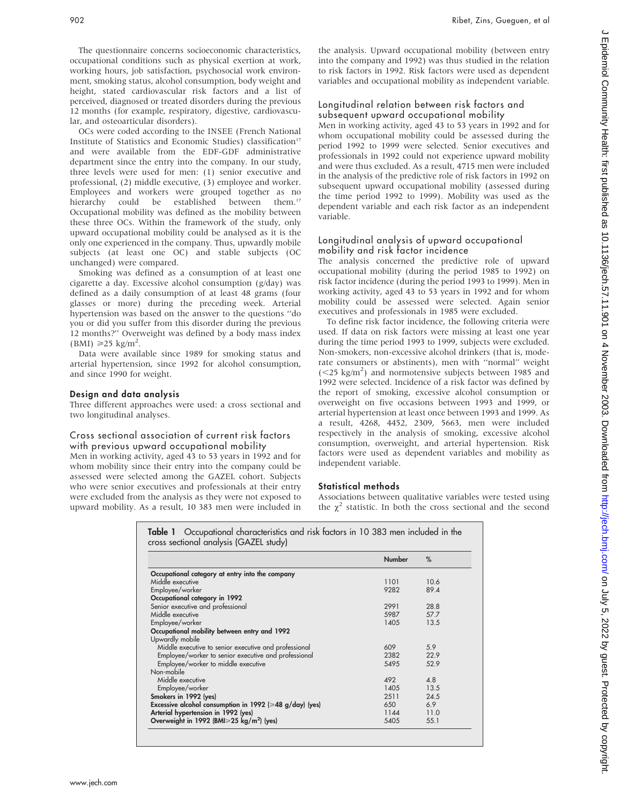The questionnaire concerns socioeconomic characteristics, occupational conditions such as physical exertion at work, working hours, job satisfaction, psychosocial work environment, smoking status, alcohol consumption, body weight and height, stated cardiovascular risk factors and a list of perceived, diagnosed or treated disorders during the previous 12 months (for example, respiratory, digestive, cardiovascular, and osteoarticular disorders).

OCs were coded according to the INSEE (French National Institute of Statistics and Economic Studies) classification<sup>17</sup> and were available from the EDF-GDF administrative department since the entry into the company. In our study, three levels were used for men: (1) senior executive and professional, (2) middle executive, (3) employee and worker. Employees and workers were grouped together as no hierarchy could be established between them.<sup>17</sup> Occupational mobility was defined as the mobility between these three OCs. Within the framework of the study, only upward occupational mobility could be analysed as it is the only one experienced in the company. Thus, upwardly mobile subjects (at least one OC) and stable subjects (OC unchanged) were compared.

Smoking was defined as a consumption of at least one cigarette a day. Excessive alcohol consumption (g/day) was defined as a daily consumption of at least 48 grams (four glasses or more) during the preceding week. Arterial hypertension was based on the answer to the questions ''do you or did you suffer from this disorder during the previous 12 months?'' Overweight was defined by a body mass index  $(BMI) \ge 25$  kg/m<sup>2</sup>.

Data were available since 1989 for smoking status and arterial hypertension, since 1992 for alcohol consumption, and since 1990 for weight.

#### Design and data analysis

Three different approaches were used: a cross sectional and two longitudinal analyses.

#### Cross sectional association of current risk factors with previous upward occupational mobility

Men in working activity, aged 43 to 53 years in 1992 and for whom mobility since their entry into the company could be assessed were selected among the GAZEL cohort. Subjects who were senior executives and professionals at their entry were excluded from the analysis as they were not exposed to upward mobility. As a result, 10 383 men were included in the analysis. Upward occupational mobility (between entry into the company and 1992) was thus studied in the relation to risk factors in 1992. Risk factors were used as dependent variables and occupational mobility as independent variable.

## Longitudinal relation between risk factors and subsequent upward occupational mobility

Men in working activity, aged 43 to 53 years in 1992 and for whom occupational mobility could be assessed during the period 1992 to 1999 were selected. Senior executives and professionals in 1992 could not experience upward mobility and were thus excluded. As a result, 4715 men were included in the analysis of the predictive role of risk factors in 1992 on subsequent upward occupational mobility (assessed during the time period 1992 to 1999). Mobility was used as the dependent variable and each risk factor as an independent variable.

#### Longitudinal analysis of upward occupational mobility and risk factor incidence

The analysis concerned the predictive role of upward occupational mobility (during the period 1985 to 1992) on risk factor incidence (during the period 1993 to 1999). Men in working activity, aged 43 to 53 years in 1992 and for whom mobility could be assessed were selected. Again senior executives and professionals in 1985 were excluded.

To define risk factor incidence, the following criteria were used. If data on risk factors were missing at least one year during the time period 1993 to 1999, subjects were excluded. Non-smokers, non-excessive alcohol drinkers (that is, moderate consumers or abstinents), men with ''normal'' weight  $(<$ 25 kg/m<sup>2</sup>) and normotensive subjects between 1985 and 1992 were selected. Incidence of a risk factor was defined by the report of smoking, excessive alcohol consumption or overweight on five occasions between 1993 and 1999, or arterial hypertension at least once between 1993 and 1999. As a result, 4268, 4452, 2309, 5663, men were included respectively in the analysis of smoking, excessive alcohol consumption, overweight, and arterial hypertension. Risk factors were used as dependent variables and mobility as independent variable.

#### Statistical methods

Associations between qualitative variables were tested using the  $\chi^2$  statistic. In both the cross sectional and the second

|                                                                | <b>Number</b> | %    |
|----------------------------------------------------------------|---------------|------|
| Occupational category at entry into the company                |               |      |
| Middle executive                                               | 1101          | 10.6 |
| Employee/worker                                                | 9282          | 89.4 |
| Occupational category in 1992                                  |               |      |
| Senior executive and professional                              | 2991          | 28.8 |
| Middle executive                                               | 5987          | 57.7 |
| Employee/worker                                                | 1405          | 13.5 |
| Occupational mobility between entry and 1992                   |               |      |
| Upwardly mobile                                                |               |      |
| Middle executive to senior executive and professional          | 609           | 5.9  |
| Employee/worker to senior executive and professional           | 2382          | 22.9 |
| Employee/worker to middle executive                            | 5495          | 52.9 |
| Non-mobile                                                     |               |      |
| Middle executive                                               | 492           | 4.8  |
| Employee/worker                                                | 1405          | 13.5 |
| Smokers in 1992 (yes)                                          | 2511          | 24.5 |
| Excessive alcohol consumption in 1992 ( $\geq 48$ g/day) (yes) | 650           | 6.9  |
| Arterial hypertension in 1992 (yes)                            | 1144          | 11.0 |
| Overweight in 1992 (BMI $\geq$ 25 kg/m <sup>2</sup> ) (yes)    | 5405          | 55.1 |

|  | <b>Table 1</b> Occupational characteristics and risk factors in 10 383 men included in the |  |  |  |
|--|--------------------------------------------------------------------------------------------|--|--|--|
|  | cross sectional analysis (GAZEL study)                                                     |  |  |  |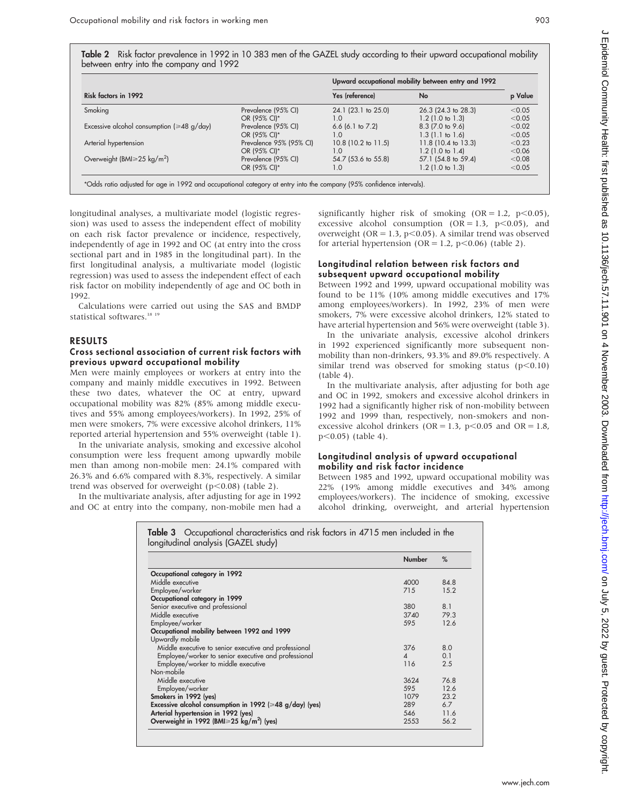Table 2 Risk factor prevalence in 1992 in 10 383 men of the GAZEL study according to their upward occupational mobility between entry into the company and 1992

|                                                  |                         |                       | Upward occupational mobility between entry and 1992 |        |  |
|--------------------------------------------------|-------------------------|-----------------------|-----------------------------------------------------|--------|--|
| Risk factors in 1992                             | Yes (reference)<br>No   |                       | p Value                                             |        |  |
| Smoking                                          | Prevalence (95% CI)     | 24.1 (23.1 to 25.0)   | 26.3 (24.3 to 28.3)                                 | < 0.05 |  |
|                                                  | OR (95% CI)*            | 1.0                   | $1.2$ (1.0 to 1.3)                                  | < 0.05 |  |
| Excessive alcohol consumption ( $\geq 48$ g/day) | Prevalence (95% CI)     | $6.6$ (6.1 to 7.2)    | $8.3$ (7.0 to 9.6)                                  | < 0.02 |  |
|                                                  | OR (95% CI)*            | 1.0                   | $1.3(1.1)$ to $1.6$ )                               | < 0.05 |  |
| Arterial hypertension                            | Prevalence 95% (95% CI) | $10.8$ (10.2 to 11.5) | 11.8 (10.4 to 13.3)                                 | < 0.23 |  |
|                                                  | OR (95% CI)*            | 1.0                   | $1.2$ (1.0 to 1.4)                                  | < 0.06 |  |
| Overweight (BMI $\geq$ 25 kg/m <sup>2</sup> )    | Prevalence (95% CI)     | 54.7 (53.6 to 55.8)   | 57.1 (54.8 to 59.4)                                 | < 0.08 |  |
|                                                  | OR (95% CI)*            | 1.0                   | $1.2$ (1.0 to 1.3)                                  | < 0.05 |  |

longitudinal analyses, a multivariate model (logistic regression) was used to assess the independent effect of mobility on each risk factor prevalence or incidence, respectively, independently of age in 1992 and OC (at entry into the cross sectional part and in 1985 in the longitudinal part). In the first longitudinal analysis, a multivariate model (logistic regression) was used to assess the independent effect of each risk factor on mobility independently of age and OC both in 1992.

Calculations were carried out using the SAS and BMDP statistical softwares.<sup>18 19</sup>

### RESULTS

#### Cross sectional association of current risk factors with previous upward occupational mobility

Men were mainly employees or workers at entry into the company and mainly middle executives in 1992. Between these two dates, whatever the OC at entry, upward occupational mobility was 82% (85% among middle executives and 55% among employees/workers). In 1992, 25% of men were smokers, 7% were excessive alcohol drinkers, 11% reported arterial hypertension and 55% overweight (table 1).

In the univariate analysis, smoking and excessive alcohol consumption were less frequent among upwardly mobile men than among non-mobile men: 24.1% compared with 26.3% and 6.6% compared with 8.3%, respectively. A similar trend was observed for overweight ( $p<0.08$ ) (table 2).

In the multivariate analysis, after adjusting for age in 1992 and OC at entry into the company, non-mobile men had a significantly higher risk of smoking  $(OR = 1.2, p < 0.05)$ , excessive alcohol consumption  $(OR = 1.3, p < 0.05)$ , and overweight ( $OR = 1.3$ ,  $p < 0.05$ ). A similar trend was observed for arterial hypertension (OR = 1.2, p<0.06) (table 2).

#### Longitudinal relation between risk factors and subsequent upward occupational mobility

Between 1992 and 1999, upward occupational mobility was found to be 11% (10% among middle executives and 17% among employees/workers). In 1992, 23% of men were smokers, 7% were excessive alcohol drinkers, 12% stated to have arterial hypertension and 56% were overweight (table 3).

In the univariate analysis, excessive alcohol drinkers in 1992 experienced significantly more subsequent nonmobility than non-drinkers, 93.3% and 89.0% respectively. A similar trend was observed for smoking status  $(p<0.10)$ (table 4).

In the multivariate analysis, after adjusting for both age and OC in 1992, smokers and excessive alcohol drinkers in 1992 had a significantly higher risk of non-mobility between 1992 and 1999 than, respectively, non-smokers and nonexcessive alcohol drinkers (OR = 1.3, p<0.05 and OR = 1.8,  $p<0.05$ ) (table 4).

#### Longitudinal analysis of upward occupational mobility and risk factor incidence

Between 1985 and 1992, upward occupational mobility was 22% (19% among middle executives and 34% among employees/workers). The incidence of smoking, excessive alcohol drinking, overweight, and arterial hypertension

|                                                                | <b>Number</b> | %    |
|----------------------------------------------------------------|---------------|------|
| Occupational category in 1992                                  |               |      |
| Middle executive                                               | 4000          | 84.8 |
| Employee/worker                                                | 715           | 15.2 |
| Occupational category in 1999                                  |               |      |
| Senior executive and professional                              | 380           | 8.1  |
| Middle executive                                               | 3740          | 79.3 |
| Employee/worker                                                | 595           | 12.6 |
| Occupational mobility between 1992 and 1999                    |               |      |
| Upwardly mobile                                                |               |      |
| Middle executive to senior executive and professional          | 376           | 8.0  |
| Employee/worker to senior executive and professional           | $\Delta$      | 0.1  |
| Employee/worker to middle executive                            | 116           | 2.5  |
| Non-mobile                                                     |               |      |
| Middle executive                                               | 3624          | 768  |
| Employee/worker                                                | 595           | 12.6 |
| Smokers in 1992 (yes)                                          | 1079          | 23.2 |
| Excessive alcohol consumption in 1992 ( $\geq 48$ g/day) (yes) | 289           | 6.7  |
| Arterial hypertension in 1992 (yes)                            | 546           | 11.6 |
| Overweight in 1992 (BMI $\geq$ 25 kg/m <sup>2</sup> ) (yes)    | 2553          | 56.2 |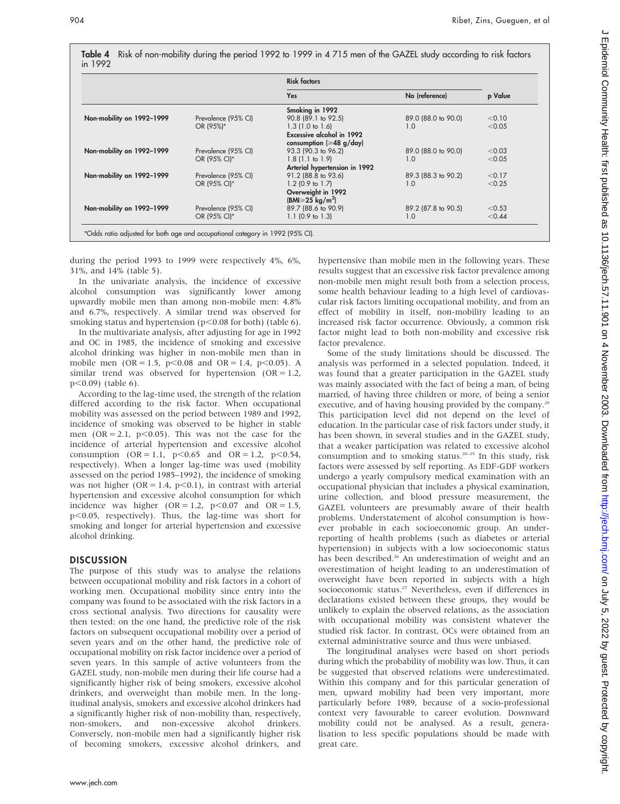|         | Table 4 Risk of non-mobility during the period 1992 to 1999 in 4 715 men of the GAZEL study according to risk factors |  |
|---------|-----------------------------------------------------------------------------------------------------------------------|--|
| in 1992 |                                                                                                                       |  |

|                           |                     | <b>Risk factors</b>                |                     |         |
|---------------------------|---------------------|------------------------------------|---------------------|---------|
|                           |                     | Yes                                | No (reference)      | p Value |
|                           |                     | Smoking in 1992                    |                     |         |
| Non-mobility on 1992-1999 | Prevalence (95% CI) | 90.8 (89.1 to 92.5)                | 89.0 (88.0 to 90.0) | < 0.10  |
|                           | OR (95%)*           | $1.3(1.0 \text{ to } 1.6)$         | 1.0                 | < 0.05  |
|                           |                     | <b>Excessive alcohol in 1992</b>   |                     |         |
|                           |                     | consumption ( $\geq 48$ g/day)     |                     |         |
| Non-mobility on 1992-1999 | Prevalence (95% CI) | 93.3 (90.3 to 96.2)                | 89.0 (88.0 to 90.0) | < 0.03  |
|                           | OR (95% CI)*        | $1.8(1.1)$ to $1.9($               | 1.0                 | < 0.05  |
|                           |                     | Arterial hypertension in 1992      |                     |         |
| Non-mobility on 1992-1999 | Prevalence (95% CI) | 91.2 (88.8 to 93.6)                | 89.3 (88.3 to 90.2) | < 0.17  |
|                           | OR (95% CI)*        | $1.2$ (0.9 to 1.7)                 | 1.0                 | < 0.25  |
|                           |                     | Overweight in 1992                 |                     |         |
|                           |                     | (BMI $\geq$ 25 kg/m <sup>2</sup> ) |                     |         |
| Non-mobility on 1992-1999 | Prevalence (95% CI) | 89.7 (88.6 to 90.9)                | 89.2 (87.8 to 90.5) | < 0.53  |
|                           | OR (95% CI)*        | $1.1$ (0.9 to 1.3)                 | 1.0                 | < 0.44  |

during the period 1993 to 1999 were respectively 4%, 6%, 31%, and 14% (table 5).

In the univariate analysis, the incidence of excessive alcohol consumption was significantly lower among upwardly mobile men than among non-mobile men: 4.8% and 6.7%, respectively. A similar trend was observed for smoking status and hypertension ( $p$ <0.08 for both) (table 6).

In the multivariate analysis, after adjusting for age in 1992 and OC in 1985, the incidence of smoking and excessive alcohol drinking was higher in non-mobile men than in mobile men (OR = 1.5, p $<0.08$  and OR = 1.4, p $<0.05$ ). A similar trend was observed for hypertension  $(OR = 1.2,$  $p<0.09$ ) (table 6).

According to the lag-time used, the strength of the relation differed according to the risk factor. When occupational mobility was assessed on the period between 1989 and 1992, incidence of smoking was observed to be higher in stable men  $(OR = 2.1, p < 0.05)$ . This was not the case for the incidence of arterial hypertension and excessive alcohol consumption (OR = 1.1,  $p<0.65$  and OR = 1.2,  $p<0.54$ , respectively). When a longer lag-time was used (mobility assessed on the period 1985–1992), the incidence of smoking was not higher ( $OR = 1.4$ ,  $p < 0.1$ ), in contrast with arterial hypertension and excessive alcohol consumption for which incidence was higher (OR = 1.2,  $p<0.07$  and OR = 1.5, p<0.05, respectively). Thus, the lag-time was short for smoking and longer for arterial hypertension and excessive alcohol drinking.

#### **DISCUSSION**

The purpose of this study was to analyse the relations between occupational mobility and risk factors in a cohort of working men. Occupational mobility since entry into the company was found to be associated with the risk factors in a cross sectional analysis. Two directions for causality were then tested: on the one hand, the predictive role of the risk factors on subsequent occupational mobility over a period of seven years and on the other hand, the predictive role of occupational mobility on risk factor incidence over a period of seven years. In this sample of active volunteers from the GAZEL study, non-mobile men during their life course had a significantly higher risk of being smokers, excessive alcohol drinkers, and overweight than mobile men. In the longitudinal analysis, smokers and excessive alcohol drinkers had a significantly higher risk of non-mobility than, respectively, non-smokers, and non-excessive alcohol drinkers. Conversely, non-mobile men had a significantly higher risk of becoming smokers, excessive alcohol drinkers, and hypertensive than mobile men in the following years. These results suggest that an excessive risk factor prevalence among non-mobile men might result both from a selection process, some health behaviour leading to a high level of cardiovascular risk factors limiting occupational mobility, and from an effect of mobility in itself, non-mobility leading to an increased risk factor occurrence. Obviously, a common risk factor might lead to both non-mobility and excessive risk factor prevalence.

Some of the study limitations should be discussed. The analysis was performed in a selected population. Indeed, it was found that a greater participation in the GAZEL study was mainly associated with the fact of being a man, of being married, of having three children or more, of being a senior executive, and of having housing provided by the company.<sup>20</sup> This participation level did not depend on the level of education. In the particular case of risk factors under study, it has been shown, in several studies and in the GAZEL study, that a weaker participation was related to excessive alcohol consumption and to smoking status.<sup>20-25</sup> In this study, risk factors were assessed by self reporting. As EDF-GDF workers undergo a yearly compulsory medical examination with an occupational physician that includes a physical examination, urine collection, and blood pressure measurement, the GAZEL volunteers are presumably aware of their health problems. Understatement of alcohol consumption is however probable in each socioeconomic group. An underreporting of health problems (such as diabetes or arterial hypertension) in subjects with a low socioeconomic status has been described.<sup>26</sup> An underestimation of weight and an overestimation of height leading to an underestimation of overweight have been reported in subjects with a high socioeconomic status.<sup>27</sup> Nevertheless, even if differences in declarations existed between these groups, they would be unlikely to explain the observed relations, as the association with occupational mobility was consistent whatever the studied risk factor. In contrast, OCs were obtained from an external administrative source and thus were unbiased.

The longitudinal analyses were based on short periods during which the probability of mobility was low. Thus, it can be suggested that observed relations were underestimated. Within this company and for this particular generation of men, upward mobility had been very important, more particularly before 1989, because of a socio-professional context very favourable to career evolution. Downward mobility could not be analysed. As a result, generalisation to less specific populations should be made with great care.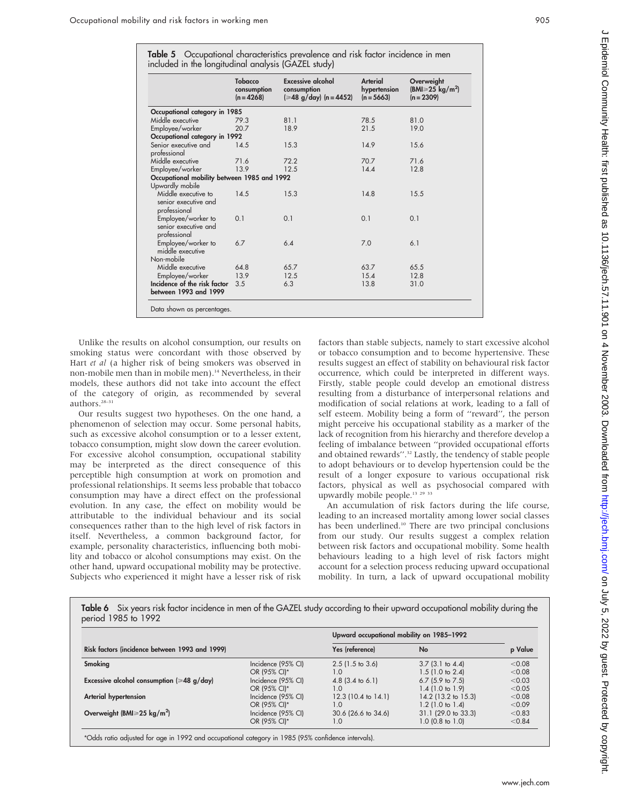|  | Table 5 Occupational characteristics prevalence and risk factor incidence in men |  |  |  |
|--|----------------------------------------------------------------------------------|--|--|--|
|  | included in the longitudinal analysis (GAZEL study)                              |  |  |  |

| <u>.</u>                                                    |                                               |                                                                              |                                          |                                                              |
|-------------------------------------------------------------|-----------------------------------------------|------------------------------------------------------------------------------|------------------------------------------|--------------------------------------------------------------|
|                                                             | <b>Tobacco</b><br>consumption<br>$(n = 4268)$ | <b>Excessive alcohol</b><br>consumption<br>$(ge48 \text{ g/day})$ (n = 4452) | Arterial<br>hypertension<br>$(n = 5663)$ | Overweight<br>$(BMI \geq 25 \text{ kg/m}^2)$<br>$(n = 2309)$ |
| Occupational category in 1985                               |                                               |                                                                              |                                          |                                                              |
| Middle executive                                            | 79.3                                          | 81.1                                                                         | 78.5                                     | 81.0                                                         |
| Employee/worker                                             | 20.7                                          | 18.9                                                                         | 21.5                                     | 19.0                                                         |
| Occupational category in 1992                               |                                               |                                                                              |                                          |                                                              |
| Senior executive and<br>professional                        | 14.5                                          | 15.3                                                                         | 14.9                                     | 15.6                                                         |
| Middle executive                                            | 71.6                                          | 72.2                                                                         | 70.7                                     | 71.6                                                         |
| Employee/worker                                             | 13.9                                          | 12.5                                                                         | 14.4                                     | 12.8                                                         |
| Occupational mobility between 1985 and 1992                 |                                               |                                                                              |                                          |                                                              |
| Upwardly mobile                                             |                                               |                                                                              |                                          |                                                              |
| Middle executive to<br>senior executive and<br>professional | 14.5                                          | 15.3                                                                         | 14.8                                     | 15.5                                                         |
| Employee/worker to<br>senior executive and<br>professional  | 0.1                                           | 0.1                                                                          | 0.1                                      | 0.1                                                          |
| Employee/worker to<br>middle executive                      | 6.7                                           | 6.4                                                                          | 7.0                                      | 6.1                                                          |
| Non-mobile                                                  |                                               |                                                                              |                                          |                                                              |
| Middle executive                                            | 64.8                                          | 65.7                                                                         | 63.7                                     | 65.5                                                         |
| Employee/worker                                             | 13.9                                          | 12.5                                                                         | 15.4                                     | 12.8                                                         |
| Incidence of the risk factor<br>between 1993 and 1999       | 3.5                                           | 6.3                                                                          | 13.8                                     | 31.0                                                         |
| Data shown as percentages.                                  |                                               |                                                                              |                                          |                                                              |

Unlike the results on alcohol consumption, our results on smoking status were concordant with those observed by Hart et al (a higher risk of being smokers was observed in non-mobile men than in mobile men).14 Nevertheless, in their models, these authors did not take into account the effect of the category of origin, as recommended by several authors.28–31

Our results suggest two hypotheses. On the one hand, a phenomenon of selection may occur. Some personal habits, such as excessive alcohol consumption or to a lesser extent, tobacco consumption, might slow down the career evolution. For excessive alcohol consumption, occupational stability may be interpreted as the direct consequence of this perceptible high consumption at work on promotion and professional relationships. It seems less probable that tobacco consumption may have a direct effect on the professional evolution. In any case, the effect on mobility would be attributable to the individual behaviour and its social consequences rather than to the high level of risk factors in itself. Nevertheless, a common background factor, for example, personality characteristics, influencing both mobility and tobacco or alcohol consumptions may exist. On the other hand, upward occupational mobility may be protective. Subjects who experienced it might have a lesser risk of risk

factors than stable subjects, namely to start excessive alcohol or tobacco consumption and to become hypertensive. These results suggest an effect of stability on behavioural risk factor occurrence, which could be interpreted in different ways. Firstly, stable people could develop an emotional distress resulting from a disturbance of interpersonal relations and modification of social relations at work, leading to a fall of self esteem. Mobility being a form of ''reward'', the person might perceive his occupational stability as a marker of the lack of recognition from his hierarchy and therefore develop a feeling of imbalance between ''provided occupational efforts and obtained rewards".<sup>32</sup> Lastly, the tendency of stable people to adopt behaviours or to develop hypertension could be the result of a longer exposure to various occupational risk factors, physical as well as psychosocial compared with upwardly mobile people.<sup>13</sup> <sup>29</sup> <sup>33</sup>

An accumulation of risk factors during the life course, leading to an increased mortality among lower social classes has been underlined.<sup>10</sup> There are two principal conclusions from our study. Our results suggest a complex relation between risk factors and occupational mobility. Some health behaviours leading to a high level of risk factors might account for a selection process reducing upward occupational mobility. In turn, a lack of upward occupational mobility

Table 6 Six years risk factor incidence in men of the GAZEL study according to their upward occupational mobility during the period 1985 to 1992

|                                                  |                    | Upward occupational mobility on 1985-1992 |                             |         |
|--------------------------------------------------|--------------------|-------------------------------------------|-----------------------------|---------|
| Risk factors (incidence between 1993 and 1999)   |                    | Yes (reference)                           | No                          | p Value |
| Smoking                                          | Incidence (95% CI) | $2.5$ (1.5 to 3.6)                        | $3.7$ (3.1 to 4.4)          | < 0.08  |
|                                                  | OR (95% CI)*       | $\overline{0}$ .                          | $1.5(1.0 \text{ to } 2.4)$  | < 0.08  |
| Excessive alcohol consumption ( $\geq 48$ g/day) | Incidence (95% CI) | 4.8 $(3.4 \text{ to } 6.1)$               | 6.7 $(5.9 \text{ to } 7.5)$ | < 0.03  |
|                                                  | OR (95% CI)*       | $\overline{0}$ .                          | $1.4$ (1.0 to 1.9)          | < 0.05  |
| Arterial hypertension                            | Incidence (95% CI) | 12.3 $(10.4 \text{ to } 14.1)$            | 14.2 (13.2 to 15.3)         | < 0.08  |
|                                                  | OR (95% CI)*       | $\overline{0}$ .                          | $1.2$ (1.0 to 1.4)          | < 0.09  |
| Overweight (BMI $\geq$ 25 kg/m <sup>2</sup> )    | Incidence (95% CI) | 30.6 (26.6 to 34.6)                       | $31.1$ (29.0 to 33.3)       | < 0.83  |
|                                                  | OR (95% CI)*       | $\overline{0}$ .                          | $1.0$ (0.8 to $1.0$ )       | < 0.84  |

\*Odds ratio adjusted for age in 1992 and occupational category in 1985 (95% confidence intervals).